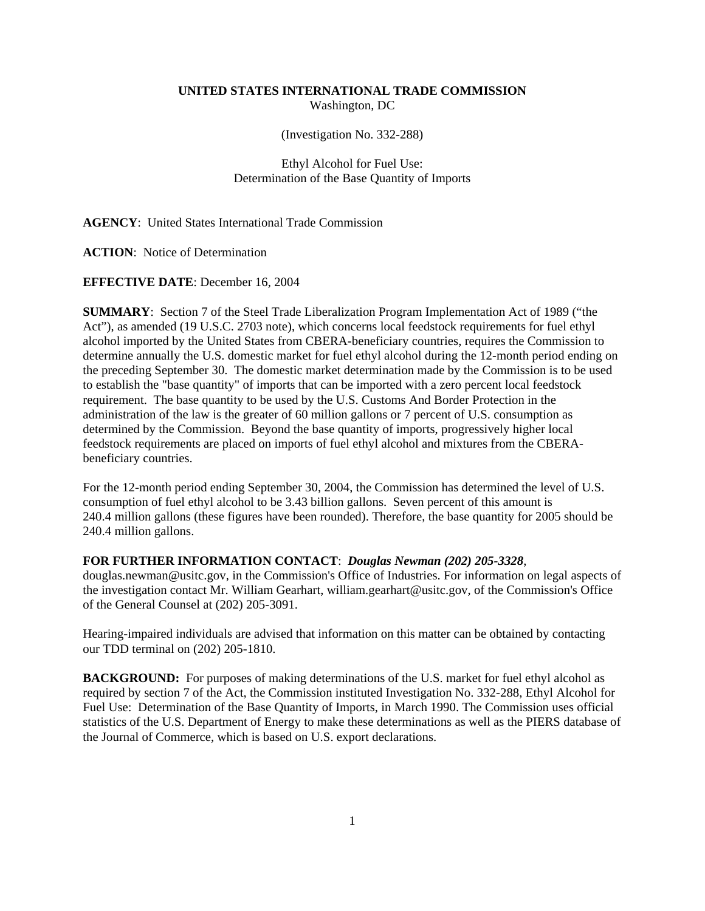## **UNITED STATES INTERNATIONAL TRADE COMMISSION** Washington, DC

(Investigation No. 332-288)

# Ethyl Alcohol for Fuel Use: Determination of the Base Quantity of Imports

### **AGENCY**: United States International Trade Commission

**ACTION**: Notice of Determination

#### **EFFECTIVE DATE**: December 16, 2004

**SUMMARY**: Section 7 of the Steel Trade Liberalization Program Implementation Act of 1989 ("the Act"), as amended (19 U.S.C. 2703 note), which concerns local feedstock requirements for fuel ethyl alcohol imported by the United States from CBERA-beneficiary countries, requires the Commission to determine annually the U.S. domestic market for fuel ethyl alcohol during the 12-month period ending on the preceding September 30. The domestic market determination made by the Commission is to be used to establish the "base quantity" of imports that can be imported with a zero percent local feedstock requirement. The base quantity to be used by the U.S. Customs And Border Protection in the administration of the law is the greater of 60 million gallons or 7 percent of U.S. consumption as determined by the Commission. Beyond the base quantity of imports, progressively higher local feedstock requirements are placed on imports of fuel ethyl alcohol and mixtures from the CBERAbeneficiary countries.

For the 12-month period ending September 30, 2004, the Commission has determined the level of U.S. consumption of fuel ethyl alcohol to be 3.43 billion gallons. Seven percent of this amount is 240.4 million gallons (these figures have been rounded). Therefore, the base quantity for 2005 should be 240.4 million gallons.

### **FOR FURTHER INFORMATION CONTACT**: *Douglas Newman (202) 205-3328*,

douglas.newman@usitc.gov, in the Commission's Office of Industries. For information on legal aspects of the investigation contact Mr. William Gearhart, william.gearhart@usitc.gov, of the Commission's Office of the General Counsel at (202) 205-3091.

Hearing-impaired individuals are advised that information on this matter can be obtained by contacting our TDD terminal on (202) 205-1810.

**BACKGROUND:** For purposes of making determinations of the U.S. market for fuel ethyl alcohol as required by section 7 of the Act, the Commission instituted Investigation No. 332-288, Ethyl Alcohol for Fuel Use: Determination of the Base Quantity of Imports, in March 1990. The Commission uses official statistics of the U.S. Department of Energy to make these determinations as well as the PIERS database of the Journal of Commerce, which is based on U.S. export declarations.